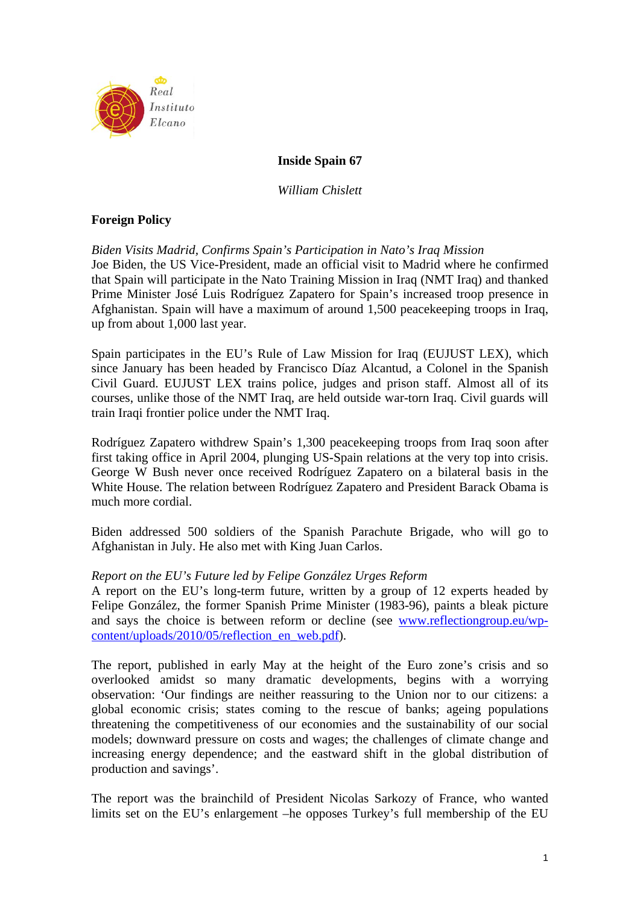

# **Inside Spain 67**

*William Chislett* 

# **Foreign Policy**

*Biden Visits Madrid, Confirms Spain's Participation in Nato's Iraq Mission*  Joe Biden, the US Vice-President, made an official visit to Madrid where he confirmed that Spain will participate in the Nato Training Mission in Iraq (NMT Iraq) and thanked Prime Minister José Luis Rodríguez Zapatero for Spain's increased troop presence in Afghanistan. Spain will have a maximum of around 1,500 peacekeeping troops in Iraq, up from about 1,000 last year.

Spain participates in the EU's Rule of Law Mission for Iraq (EUJUST LEX), which since January has been headed by Francisco Díaz Alcantud, a Colonel in the Spanish Civil Guard. EUJUST LEX trains police, judges and prison staff. Almost all of its courses, unlike those of the NMT Iraq, are held outside war-torn Iraq. Civil guards will train Iraqi frontier police under the NMT Iraq.

Rodríguez Zapatero withdrew Spain's 1,300 peacekeeping troops from Iraq soon after first taking office in April 2004, plunging US-Spain relations at the very top into crisis. George W Bush never once received Rodríguez Zapatero on a bilateral basis in the White House. The relation between Rodríguez Zapatero and President Barack Obama is much more cordial.

Biden addressed 500 soldiers of the Spanish Parachute Brigade, who will go to Afghanistan in July. He also met with King Juan Carlos.

## *Report on the EU's Future led by Felipe González Urges Reform*

A report on the EU's long-term future, written by a group of 12 experts headed by Felipe González, the former Spanish Prime Minister (1983-96), paints a bleak picture and says the choice is between reform or decline (see www.reflectiongroup.eu/wpcontent/uploads/2010/05/reflection\_en\_web.pdf).

The report, published in early May at the height of the Euro zone's crisis and so overlooked amidst so many dramatic developments, begins with a worrying observation: 'Our findings are neither reassuring to the Union nor to our citizens: a global economic crisis; states coming to the rescue of banks; ageing populations threatening the competitiveness of our economies and the sustainability of our social models; downward pressure on costs and wages; the challenges of climate change and increasing energy dependence; and the eastward shift in the global distribution of production and savings'.

The report was the brainchild of President Nicolas Sarkozy of France, who wanted limits set on the EU's enlargement –he opposes Turkey's full membership of the EU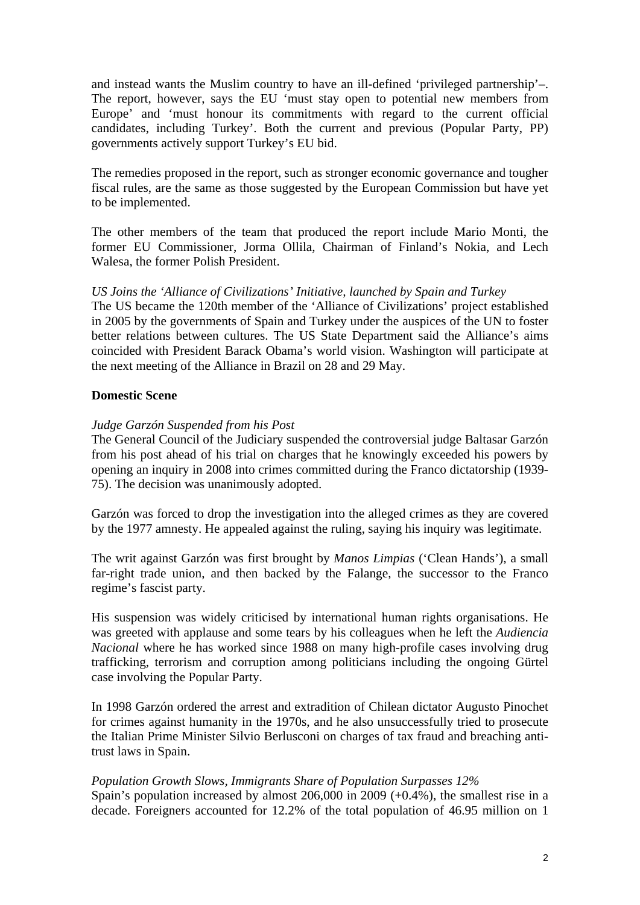and instead wants the Muslim country to have an ill-defined 'privileged partnership'–. The report, however, says the EU 'must stay open to potential new members from Europe' and 'must honour its commitments with regard to the current official candidates, including Turkey'. Both the current and previous (Popular Party, PP) governments actively support Turkey's EU bid.

The remedies proposed in the report, such as stronger economic governance and tougher fiscal rules, are the same as those suggested by the European Commission but have yet to be implemented.

The other members of the team that produced the report include Mario Monti, the former EU Commissioner, Jorma Ollila, Chairman of Finland's Nokia, and Lech Walesa, the former Polish President.

## *US Joins the 'Alliance of Civilizations' Initiative, launched by Spain and Turkey*

The US became the 120th member of the 'Alliance of Civilizations' project established in 2005 by the governments of Spain and Turkey under the auspices of the UN to foster better relations between cultures. The US State Department said the Alliance's aims coincided with President Barack Obama's world vision. Washington will participate at the next meeting of the Alliance in Brazil on 28 and 29 May.

## **Domestic Scene**

## *Judge Garzón Suspended from his Post*

The General Council of the Judiciary suspended the controversial judge Baltasar Garzón from his post ahead of his trial on charges that he knowingly exceeded his powers by opening an inquiry in 2008 into crimes committed during the Franco dictatorship (1939- 75). The decision was unanimously adopted.

Garzón was forced to drop the investigation into the alleged crimes as they are covered by the 1977 amnesty. He appealed against the ruling, saying his inquiry was legitimate.

The writ against Garzón was first brought by *Manos Limpias* ('Clean Hands'), a small far-right trade union, and then backed by the Falange, the successor to the Franco regime's fascist party.

His suspension was widely criticised by international human rights organisations. He was greeted with applause and some tears by his colleagues when he left the *Audiencia Nacional* where he has worked since 1988 on many high-profile cases involving drug trafficking, terrorism and corruption among politicians including the ongoing Gürtel case involving the Popular Party.

In 1998 Garzón ordered the arrest and extradition of Chilean dictator Augusto Pinochet for crimes against humanity in the 1970s, and he also unsuccessfully tried to prosecute the Italian Prime Minister Silvio Berlusconi on charges of tax fraud and breaching antitrust laws in Spain.

## *Population Growth Slows, Immigrants Share of Population Surpasses 12%*

Spain's population increased by almost  $206,000$  in  $2009 (+0.4\%)$ , the smallest rise in a decade. Foreigners accounted for 12.2% of the total population of 46.95 million on 1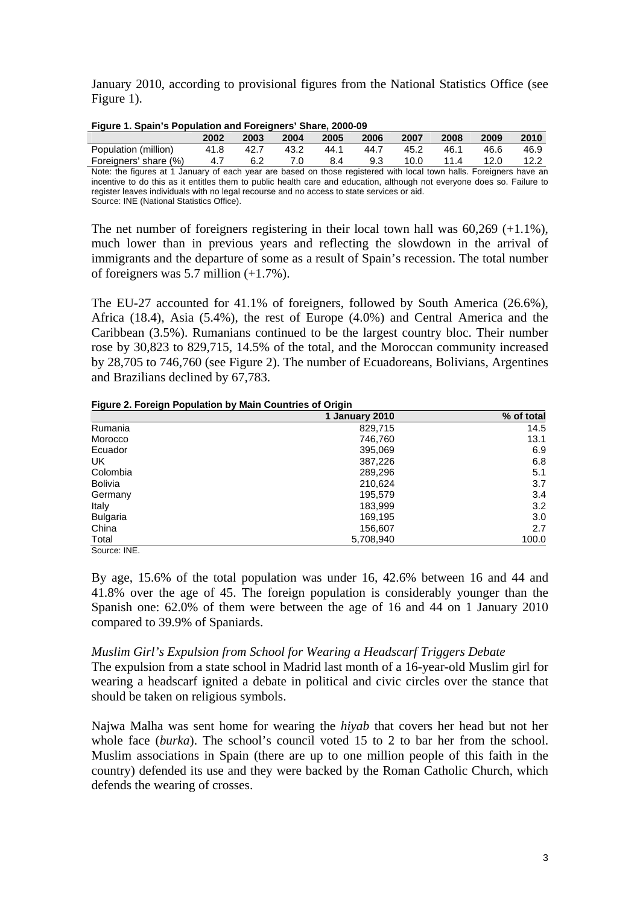January 2010, according to provisional figures from the National Statistics Office (see Figure 1).

| Figure 1. Spain's Population and Foreigners' Share, 2000-09                                                         |      |      |      |      |      |      |      |      |      |
|---------------------------------------------------------------------------------------------------------------------|------|------|------|------|------|------|------|------|------|
|                                                                                                                     | 2002 | 2003 | 2004 | 2005 | 2006 | 2007 | 2008 | 2009 | 2010 |
| Population (million)                                                                                                | 41.8 | 42.7 | 43.2 | 44.1 | 44.7 | 45.2 | 46.1 | 46.6 | 46.9 |
| Foreigners' share (%)                                                                                               | 4.7  | 6.2  | 7.0  | 8.4  | 9.3  | 10.0 | 11.4 | 12.0 | 12.2 |
| Note: the figures at 1 January of each year are based on those registered with local town halls. Foreigners have an |      |      |      |      |      |      |      |      |      |

Note: the figures at 1 January of each year are based on those registered with local town halls. Foreigners have an incentive to do this as it entitles them to public health care and education, although not everyone does so. Failure to register leaves individuals with no legal recourse and no access to state services or aid. Source: INE (National Statistics Office).

The net number of foreigners registering in their local town hall was 60,269 (+1.1%), much lower than in previous years and reflecting the slowdown in the arrival of immigrants and the departure of some as a result of Spain's recession. The total number of foreigners was  $5.7$  million  $(+1.7\%)$ .

The EU-27 accounted for 41.1% of foreigners, followed by South America (26.6%), Africa (18.4), Asia (5.4%), the rest of Europe (4.0%) and Central America and the Caribbean (3.5%). Rumanians continued to be the largest country bloc. Their number rose by 30,823 to 829,715, 14.5% of the total, and the Moroccan community increased by 28,705 to 746,760 (see Figure 2). The number of Ecuadoreans, Bolivians, Argentines and Brazilians declined by 67,783.

#### **Figure 2. Foreign Population by Main Countries of Origin**

| . . <u>.</u>    | 1 January 2010 | % of total |
|-----------------|----------------|------------|
| Rumania         | 829,715        | 14.5       |
| Morocco         | 746,760        | 13.1       |
| Ecuador         | 395,069        | 6.9        |
| UK              | 387,226        | 6.8        |
| Colombia        | 289,296        | 5.1        |
| <b>Bolivia</b>  | 210,624        | 3.7        |
| Germany         | 195,579        | 3.4        |
| Italy           | 183,999        | 3.2        |
| <b>Bulgaria</b> | 169,195        | 3.0        |
| China           | 156,607        | 2.7        |
| Total           | 5,708,940      | 100.0      |

Source: INE.

By age, 15.6% of the total population was under 16, 42.6% between 16 and 44 and 41.8% over the age of 45. The foreign population is considerably younger than the Spanish one: 62.0% of them were between the age of 16 and 44 on 1 January 2010 compared to 39.9% of Spaniards.

## *Muslim Girl's Expulsion from School for Wearing a Headscarf Triggers Debate*

The expulsion from a state school in Madrid last month of a 16-year-old Muslim girl for wearing a headscarf ignited a debate in political and civic circles over the stance that should be taken on religious symbols.

Najwa Malha was sent home for wearing the *hiyab* that covers her head but not her whole face (*burka*). The school's council voted 15 to 2 to bar her from the school. Muslim associations in Spain (there are up to one million people of this faith in the country) defended its use and they were backed by the Roman Catholic Church, which defends the wearing of crosses.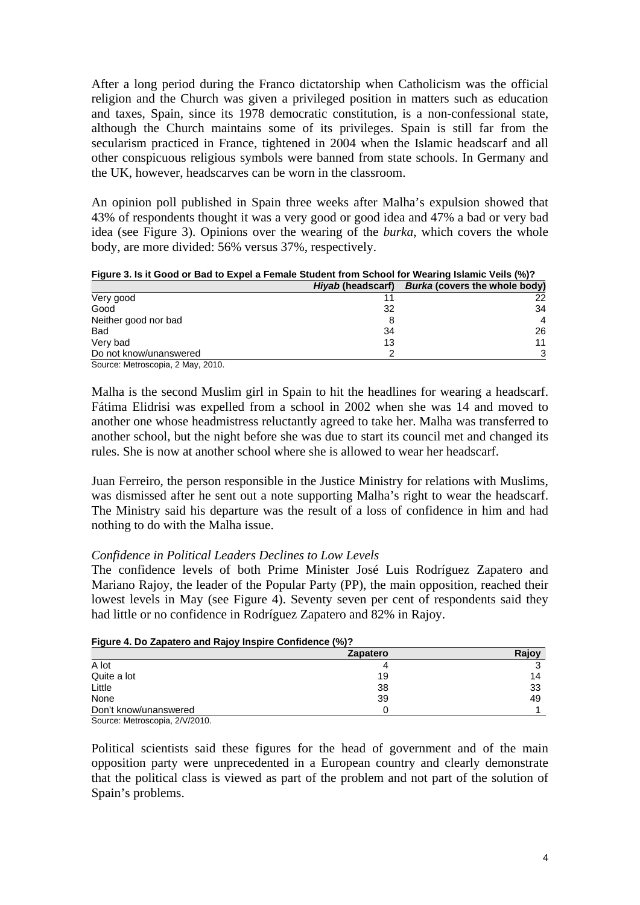After a long period during the Franco dictatorship when Catholicism was the official religion and the Church was given a privileged position in matters such as education and taxes, Spain, since its 1978 democratic constitution, is a non-confessional state, although the Church maintains some of its privileges. Spain is still far from the secularism practiced in France, tightened in 2004 when the Islamic headscarf and all other conspicuous religious symbols were banned from state schools. In Germany and the UK, however, headscarves can be worn in the classroom.

An opinion poll published in Spain three weeks after Malha's expulsion showed that 43% of respondents thought it was a very good or good idea and 47% a bad or very bad idea (see Figure 3). Opinions over the wearing of the *burka*, which covers the whole body, are more divided: 56% versus 37%, respectively.

**Figure 3. Is it Good or Bad to Expel a Female Student from School for Wearing Islamic Veils (%)?** 

|                                   | <i>Hiyab</i> (headscarf) | <b>Burka (covers the whole body)</b> |
|-----------------------------------|--------------------------|--------------------------------------|
| Very good                         |                          | 22                                   |
| Good                              | 32                       | 34                                   |
| Neither good nor bad              |                          | $\overline{4}$                       |
| Bad                               | 34                       | 26                                   |
| Very bad                          | 13                       | 11                                   |
| Do not know/unanswered            |                          | 3                                    |
| Source: Metroscopia, 2 May, 2010. |                          |                                      |

Malha is the second Muslim girl in Spain to hit the headlines for wearing a headscarf. Fátima Elidrisi was expelled from a school in 2002 when she was 14 and moved to another one whose headmistress reluctantly agreed to take her. Malha was transferred to another school, but the night before she was due to start its council met and changed its rules. She is now at another school where she is allowed to wear her headscarf.

Juan Ferreiro, the person responsible in the Justice Ministry for relations with Muslims, was dismissed after he sent out a note supporting Malha's right to wear the headscarf. The Ministry said his departure was the result of a loss of confidence in him and had nothing to do with the Malha issue.

## *Confidence in Political Leaders Declines to Low Levels*

The confidence levels of both Prime Minister José Luis Rodríguez Zapatero and Mariano Rajoy, the leader of the Popular Party (PP), the main opposition, reached their lowest levels in May (see Figure 4). Seventy seven per cent of respondents said they had little or no confidence in Rodríguez Zapatero and 82% in Rajoy.

| <b>I iguit 4. Du Zapatei u and Rajuy inspire Computible (70):</b> |                 |       |  |  |  |  |
|-------------------------------------------------------------------|-----------------|-------|--|--|--|--|
|                                                                   | <b>Zapatero</b> | Raiov |  |  |  |  |
| A lot                                                             |                 |       |  |  |  |  |
| Quite a lot                                                       | 19              | 14    |  |  |  |  |
| Little                                                            | 38              | 33    |  |  |  |  |
| None                                                              | 39              | 49    |  |  |  |  |
| Don't know/unanswered                                             |                 |       |  |  |  |  |

## **Figure 4. Do Zapatero and Rajoy Inspire Confidence (%)?**

Source: Metroscopia, 2/V/2010.

Political scientists said these figures for the head of government and of the main opposition party were unprecedented in a European country and clearly demonstrate that the political class is viewed as part of the problem and not part of the solution of Spain's problems.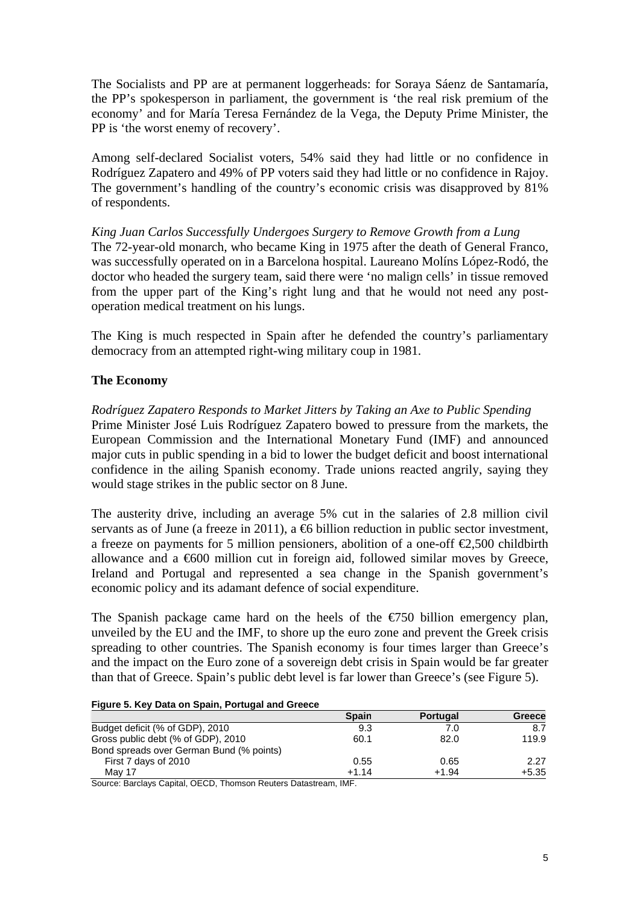The Socialists and PP are at permanent loggerheads: for Soraya Sáenz de Santamaría, the PP's spokesperson in parliament, the government is 'the real risk premium of the economy' and for María Teresa Fernández de la Vega, the Deputy Prime Minister, the PP is 'the worst enemy of recovery'.

Among self-declared Socialist voters, 54% said they had little or no confidence in Rodríguez Zapatero and 49% of PP voters said they had little or no confidence in Rajoy. The government's handling of the country's economic crisis was disapproved by 81% of respondents.

*King Juan Carlos Successfully Undergoes Surgery to Remove Growth from a Lung*  The 72-year-old monarch, who became King in 1975 after the death of General Franco, was successfully operated on in a Barcelona hospital. Laureano Molíns López-Rodó, the doctor who headed the surgery team, said there were 'no malign cells' in tissue removed from the upper part of the King's right lung and that he would not need any postoperation medical treatment on his lungs.

The King is much respected in Spain after he defended the country's parliamentary democracy from an attempted right-wing military coup in 1981.

# **The Economy**

*Rodríguez Zapatero Responds to Market Jitters by Taking an Axe to Public Spending*  Prime Minister José Luis Rodríguez Zapatero bowed to pressure from the markets, the European Commission and the International Monetary Fund (IMF) and announced major cuts in public spending in a bid to lower the budget deficit and boost international confidence in the ailing Spanish economy. Trade unions reacted angrily, saying they

The austerity drive, including an average 5% cut in the salaries of 2.8 million civil servants as of June (a freeze in 2011), a  $\bigoplus$  billion reduction in public sector investment, a freeze on payments for 5 million pensioners, abolition of a one-off  $\epsilon$ 2,500 childbirth allowance and a €600 million cut in foreign aid, followed similar moves by Greece, Ireland and Portugal and represented a sea change in the Spanish government's economic policy and its adamant defence of social expenditure.

The Spanish package came hard on the heels of the  $\epsilon$ 750 billion emergency plan, unveiled by the EU and the IMF, to shore up the euro zone and prevent the Greek crisis spreading to other countries. The Spanish economy is four times larger than Greece's and the impact on the Euro zone of a sovereign debt crisis in Spain would be far greater than that of Greece. Spain's public debt level is far lower than Greece's (see Figure 5).

#### **Figure 5. Key Data on Spain, Portugal and Greece**

would stage strikes in the public sector on 8 June.

|                                          | <b>Spain</b> | <b>Portugal</b> | Greece  |
|------------------------------------------|--------------|-----------------|---------|
| Budget deficit (% of GDP), 2010          | 9.3          | 7.0             | 8.7     |
| Gross public debt (% of GDP), 2010       | 60.1         | 82.0            | 119.9   |
| Bond spreads over German Bund (% points) |              |                 |         |
| First 7 days of 2010                     | 0.55         | 0.65            | 2.27    |
| May 17                                   | $+1.14$      | $+1.94$         | $+5.35$ |

Source: Barclays Capital, OECD, Thomson Reuters Datastream, IMF.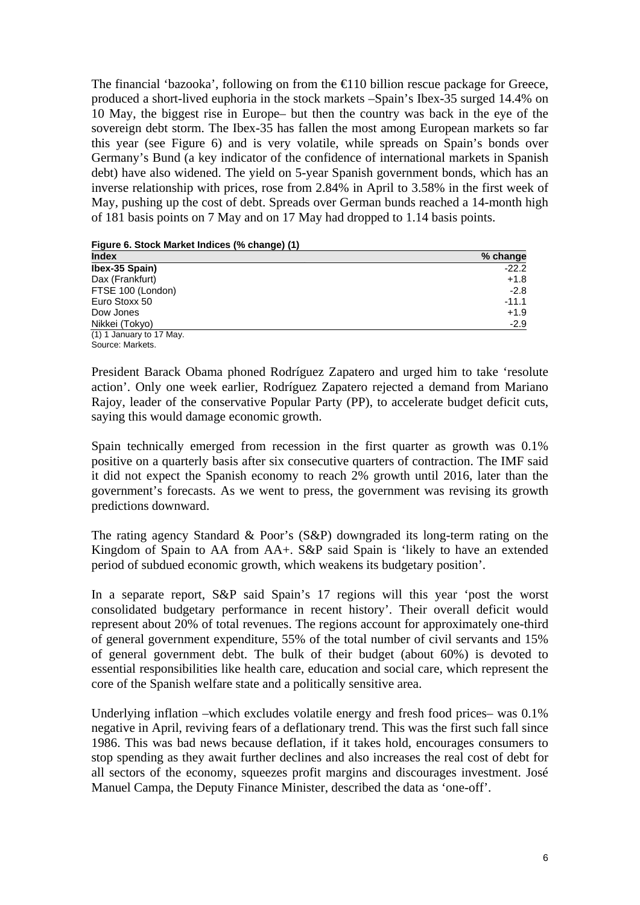The financial 'bazooka', following on from the  $\bigoplus$  10 billion rescue package for Greece, produced a short-lived euphoria in the stock markets –Spain's Ibex-35 surged 14.4% on 10 May, the biggest rise in Europe– but then the country was back in the eye of the sovereign debt storm. The Ibex-35 has fallen the most among European markets so far this year (see Figure 6) and is very volatile, while spreads on Spain's bonds over Germany's Bund (a key indicator of the confidence of international markets in Spanish debt) have also widened. The yield on 5-year Spanish government bonds, which has an inverse relationship with prices, rose from 2.84% in April to 3.58% in the first week of May, pushing up the cost of debt. Spreads over German bunds reached a 14-month high of 181 basis points on 7 May and on 17 May had dropped to 1.14 basis points.

**Figure 6. Stock Market Indices (% change) (1)** 

| <b>Index</b>             | % change |
|--------------------------|----------|
| Ibex-35 Spain)           | $-22.2$  |
| Dax (Frankfurt)          | $+1.8$   |
| FTSE 100 (London)        | $-2.8$   |
| Euro Stoxx 50            | $-11.1$  |
| Dow Jones                | $+1.9$   |
| Nikkei (Tokyo)           | $-2.9$   |
| (1) 1 January to 17 May. |          |
| Source: Markets          |          |

President Barack Obama phoned Rodríguez Zapatero and urged him to take 'resolute action'. Only one week earlier, Rodríguez Zapatero rejected a demand from Mariano Rajoy, leader of the conservative Popular Party (PP), to accelerate budget deficit cuts, saying this would damage economic growth.

Spain technically emerged from recession in the first quarter as growth was 0.1% positive on a quarterly basis after six consecutive quarters of contraction. The IMF said it did not expect the Spanish economy to reach 2% growth until 2016, later than the government's forecasts. As we went to press, the government was revising its growth predictions downward.

The rating agency Standard & Poor's (S&P) downgraded its long-term rating on the Kingdom of Spain to AA from AA+. S&P said Spain is 'likely to have an extended period of subdued economic growth, which weakens its budgetary position'.

In a separate report, S&P said Spain's 17 regions will this year 'post the worst consolidated budgetary performance in recent history'. Their overall deficit would represent about 20% of total revenues. The regions account for approximately one-third of general government expenditure, 55% of the total number of civil servants and 15% of general government debt. The bulk of their budget (about 60%) is devoted to essential responsibilities like health care, education and social care, which represent the core of the Spanish welfare state and a politically sensitive area.

Underlying inflation –which excludes volatile energy and fresh food prices– was 0.1% negative in April, reviving fears of a deflationary trend. This was the first such fall since 1986. This was bad news because deflation, if it takes hold, encourages consumers to stop spending as they await further declines and also increases the real cost of debt for all sectors of the economy, squeezes profit margins and discourages investment. José Manuel Campa, the Deputy Finance Minister, described the data as 'one-off'.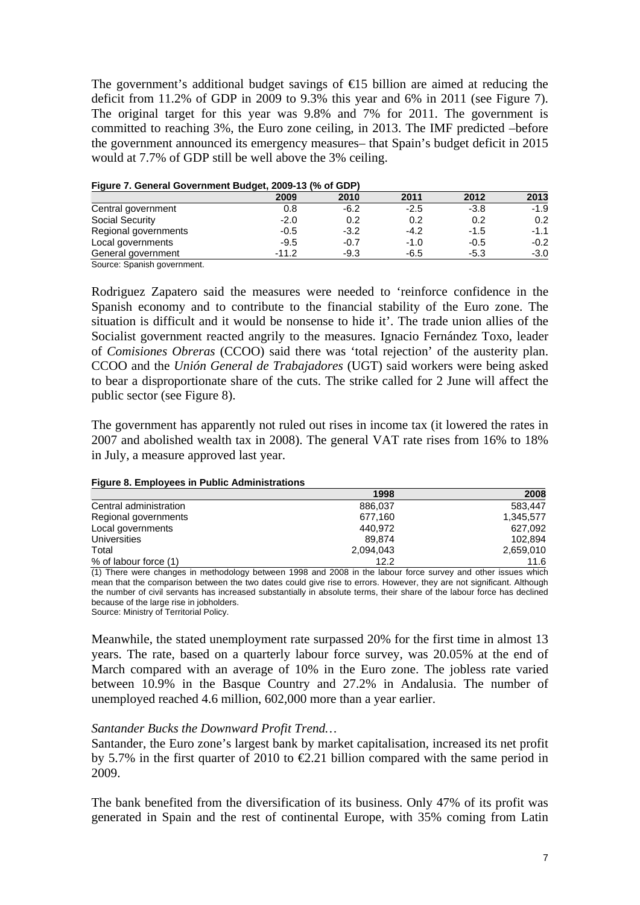The government's additional budget savings of  $\epsilon$ 15 billion are aimed at reducing the deficit from 11.2% of GDP in 2009 to 9.3% this year and 6% in 2011 (see Figure 7). The original target for this year was 9.8% and 7% for 2011. The government is committed to reaching 3%, the Euro zone ceiling, in 2013. The IMF predicted –before the government announced its emergency measures– that Spain's budget deficit in 2015 would at 7.7% of GDP still be well above the 3% ceiling.

| riqure 7. General Government Budget, 2009-13 (% of GDP) |         |        |        |        |        |
|---------------------------------------------------------|---------|--------|--------|--------|--------|
|                                                         | 2009    | 2010   | 2011   | 2012   | 2013   |
| Central government                                      | 0.8     | $-6.2$ | $-2.5$ | $-3.8$ | $-1.9$ |
| <b>Social Security</b>                                  | $-2.0$  | 0.2    | 0.2    | 0.2    | 0.2    |
| Regional governments                                    | $-0.5$  | $-3.2$ | $-4.2$ | $-1.5$ | $-1.1$ |
| Local governments                                       | $-9.5$  | $-0.7$ | $-1.0$ | $-0.5$ | $-0.2$ |
| General government                                      | $-11.2$ | $-9.3$ | $-6.5$ | $-5.3$ | $-3.0$ |
| $\sim$ $\sim$ $\sim$ $\sim$ $\sim$                      |         |        |        |        |        |

# **Figure 7. General Government Budget, 2009-13 (% of GDP)**

Source: Spanish government.

Rodriguez Zapatero said the measures were needed to 'reinforce confidence in the Spanish economy and to contribute to the financial stability of the Euro zone. The situation is difficult and it would be nonsense to hide it'. The trade union allies of the Socialist government reacted angrily to the measures. Ignacio Fernández Toxo, leader of *Comisiones Obreras* (CCOO) said there was 'total rejection' of the austerity plan. CCOO and the *Unión General de Trabajadores* (UGT) said workers were being asked to bear a disproportionate share of the cuts. The strike called for 2 June will affect the public sector (see Figure 8).

The government has apparently not ruled out rises in income tax (it lowered the rates in 2007 and abolished wealth tax in 2008). The general VAT rate rises from 16% to 18% in July, a measure approved last year.

|                        | 1998      | 2008      |
|------------------------|-----------|-----------|
| Central administration | 886.037   | 583.447   |
| Regional governments   | 677.160   | 1.345.577 |
| Local governments      | 440.972   | 627.092   |
| Universities           | 89.874    | 102.894   |
| Total                  | 2,094,043 | 2,659,010 |
| % of labour force (1)  | 12.2      | 11.6      |

#### **Figure 8. Employees in Public Administrations**

(1) There were changes in methodology between 1998 and 2008 in the labour force survey and other issues which mean that the comparison between the two dates could give rise to errors. However, they are not significant. Although the number of civil servants has increased substantially in absolute terms, their share of the labour force has declined because of the large rise in jobholders. Source: Ministry of Territorial Policy.

Meanwhile, the stated unemployment rate surpassed 20% for the first time in almost 13 years. The rate, based on a quarterly labour force survey, was 20.05% at the end of March compared with an average of 10% in the Euro zone. The jobless rate varied between 10.9% in the Basque Country and 27.2% in Andalusia. The number of

unemployed reached 4.6 million, 602,000 more than a year earlier.

# *Santander Bucks the Downward Profit Trend…*

Santander, the Euro zone's largest bank by market capitalisation, increased its net profit by 5.7% in the first quarter of 2010 to  $\epsilon 2.21$  billion compared with the same period in 2009.

The bank benefited from the diversification of its business. Only 47% of its profit was generated in Spain and the rest of continental Europe, with 35% coming from Latin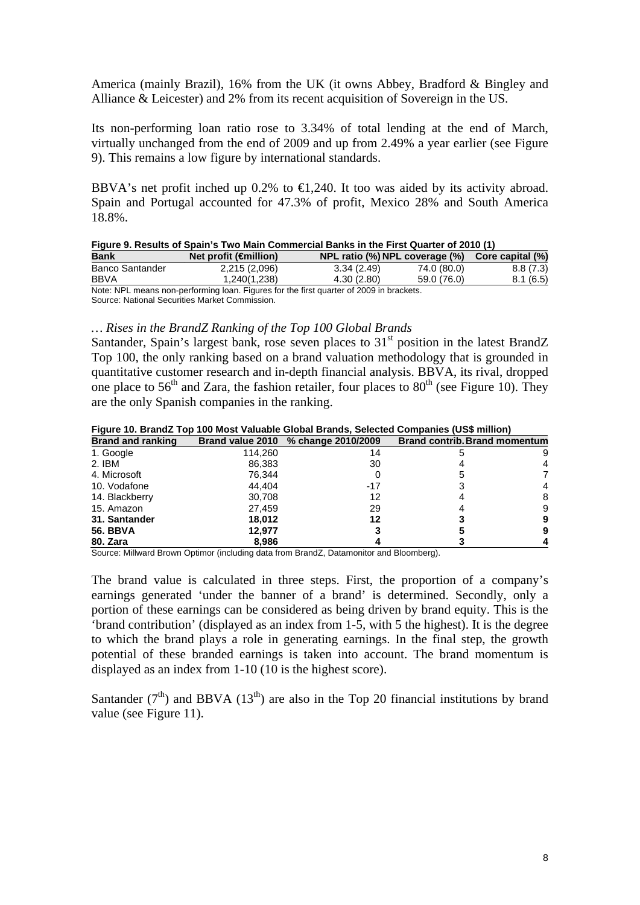America (mainly Brazil), 16% from the UK (it owns Abbey, Bradford & Bingley and Alliance & Leicester) and 2% from its recent acquisition of Sovereign in the US.

Its non-performing loan ratio rose to 3.34% of total lending at the end of March, virtually unchanged from the end of 2009 and up from 2.49% a year earlier (see Figure 9). This remains a low figure by international standards.

BBVA's net profit inched up 0.2% to  $\bigoplus$ , 240. It too was aided by its activity abroad. Spain and Portugal accounted for 47.3% of profit, Mexico 28% and South America 18.8%.

|                        | Figure 9. Results of Spain's Two Main Commercial Banks in the First Quarter of 2010 (1) |                                |             |                  |
|------------------------|-----------------------------------------------------------------------------------------|--------------------------------|-------------|------------------|
| <b>Bank</b>            | Net profit $(\oplus$ nillion)                                                           | NPL ratio (%) NPL coverage (%) |             | Core capital (%) |
| <b>Banco Santander</b> | 2,215 (2,096)                                                                           | 3.34(2.49)                     | 74.0 (80.0) | 8.8(7.3)         |
| <b>BBVA</b>            | 1.240(1.238)                                                                            | 4.30(2.80)                     | 59.0 (76.0) | 8.1(6.5)         |
|                        | Note: NPL means non performing loan. Figures for the first quarter of 2000 in brockets  |                                |             |                  |

Note: NPL means non-performing loan. Figures for the first quarter of 2009 in brackets. Source: National Securities Market Commission.

#### *… Rises in the BrandZ Ranking of the Top 100 Global Brands*

Santander, Spain's largest bank, rose seven places to  $31<sup>st</sup>$  position in the latest BrandZ Top 100, the only ranking based on a brand valuation methodology that is grounded in quantitative customer research and in-depth financial analysis. BBVA, its rival, dropped one place to  $56<sup>th</sup>$  and Zara, the fashion retailer, four places to  $80<sup>th</sup>$  (see Figure 10). They are the only Spanish companies in the ranking.

**Figure 10. BrandZ Top 100 Most Valuable Global Brands, Selected Companies (US\$ million)** 

| <b>Brand and ranking</b> |         | Brand value 2010 % change 2010/2009 | <b>Brand contrib. Brand momentum</b> |   |
|--------------------------|---------|-------------------------------------|--------------------------------------|---|
| 1. Google                | 114,260 | 14                                  |                                      | 9 |
| 2. IBM                   | 86,383  | 30                                  |                                      | 4 |
| 4. Microsoft             | 76,344  |                                     |                                      |   |
| 10. Vodafone             | 44.404  | $-17$                               |                                      | 4 |
| 14. Blackberry           | 30,708  | 12                                  |                                      | 8 |
| 15. Amazon               | 27,459  | 29                                  |                                      | 9 |
| 31. Santander            | 18.012  | 12                                  |                                      | 9 |
| <b>56. BBVA</b>          | 12.977  |                                     |                                      | 9 |
| 80. Zara                 | 8,986   |                                     |                                      |   |

Source: Millward Brown Optimor (including data from BrandZ, Datamonitor and Bloomberg).

The brand value is calculated in three steps. First, the proportion of a company's earnings generated 'under the banner of a brand' is determined. Secondly, only a portion of these earnings can be considered as being driven by brand equity. This is the 'brand contribution' (displayed as an index from 1-5, with 5 the highest). It is the degree to which the brand plays a role in generating earnings. In the final step, the growth potential of these branded earnings is taken into account. The brand momentum is displayed as an index from 1-10 (10 is the highest score).

Santander  $(7<sup>th</sup>)$  and BBVA  $(13<sup>th</sup>)$  are also in the Top 20 financial institutions by brand value (see Figure 11).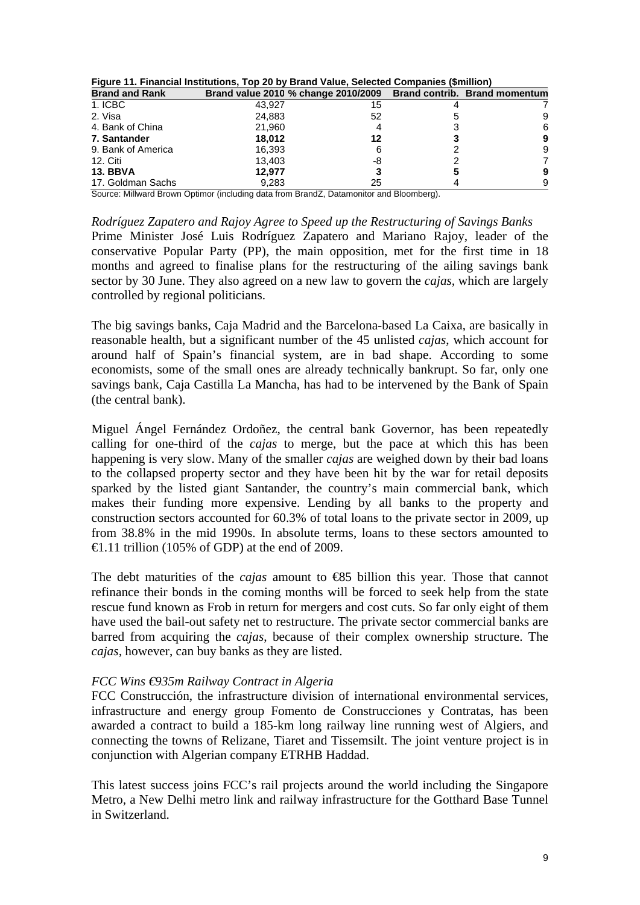| Figure TT. Financial montuuons, Top Z0 by Brand Value, Selected Companies (Similion) |        |                                                                   |   |
|--------------------------------------------------------------------------------------|--------|-------------------------------------------------------------------|---|
| <b>Brand and Rank</b>                                                                |        | Brand value 2010 % change 2010/2009 Brand contrib. Brand momentum |   |
| 1. ICBC                                                                              | 43.927 | 15                                                                |   |
| 2. Visa                                                                              | 24.883 | 52                                                                | 9 |
| 4. Bank of China                                                                     | 21.960 |                                                                   | 6 |
| 7. Santander                                                                         | 18.012 | 12                                                                | 9 |
| 9. Bank of America                                                                   | 16.393 |                                                                   | 9 |
| 12. Citi                                                                             | 13.403 | -8                                                                |   |
| <b>13. BBVA</b>                                                                      | 12.977 |                                                                   | 9 |
| 17. Goldman Sachs                                                                    | 9.283  | 25                                                                | 9 |

|  |  |  |  | Figure 11. Financial Institutions, Top 20 by Brand Value, Selected Companies (\$million) |  |  |  |
|--|--|--|--|------------------------------------------------------------------------------------------|--|--|--|
|  |  |  |  |                                                                                          |  |  |  |

Source: Millward Brown Optimor (including data from BrandZ, Datamonitor and Bloomberg).

*Rodríguez Zapatero and Rajoy Agree to Speed up the Restructuring of Savings Banks*  Prime Minister José Luis Rodríguez Zapatero and Mariano Rajoy, leader of the conservative Popular Party (PP), the main opposition, met for the first time in 18 months and agreed to finalise plans for the restructuring of the ailing savings bank sector by 30 June. They also agreed on a new law to govern the *cajas,* which are largely controlled by regional politicians.

The big savings banks, Caja Madrid and the Barcelona-based La Caixa, are basically in reasonable health, but a significant number of the 45 unlisted *cajas*, which account for around half of Spain's financial system, are in bad shape. According to some economists, some of the small ones are already technically bankrupt. So far, only one savings bank, Caja Castilla La Mancha, has had to be intervened by the Bank of Spain (the central bank).

Miguel Ángel Fernández Ordoñez, the central bank Governor, has been repeatedly calling for one-third of the *cajas* to merge, but the pace at which this has been happening is very slow. Many of the smaller *cajas* are weighed down by their bad loans to the collapsed property sector and they have been hit by the war for retail deposits sparked by the listed giant Santander, the country's main commercial bank, which makes their funding more expensive. Lending by all banks to the property and construction sectors accounted for 60.3% of total loans to the private sector in 2009, up from 38.8% in the mid 1990s. In absolute terms, loans to these sectors amounted to  $\triangleleft$ .11 trillion (105% of GDP) at the end of 2009.

The debt maturities of the *cajas* amount to €85 billion this year. Those that cannot refinance their bonds in the coming months will be forced to seek help from the state rescue fund known as Frob in return for mergers and cost cuts. So far only eight of them have used the bail-out safety net to restructure. The private sector commercial banks are barred from acquiring the *cajas*, because of their complex ownership structure. The *cajas,* however, can buy banks as they are listed.

## *FCC Wins €935m Railway Contract in Algeria*

FCC Construcción, the infrastructure division of international environmental services, infrastructure and energy group Fomento de Construcciones y Contratas, has been awarded a contract to build a 185-km long railway line running west of Algiers, and connecting the towns of Relizane, Tiaret and Tissemsilt. The joint venture project is in conjunction with Algerian company ETRHB Haddad.

This latest success joins FCC's rail projects around the world including the Singapore Metro, a New Delhi metro link and railway infrastructure for the Gotthard Base Tunnel in Switzerland.